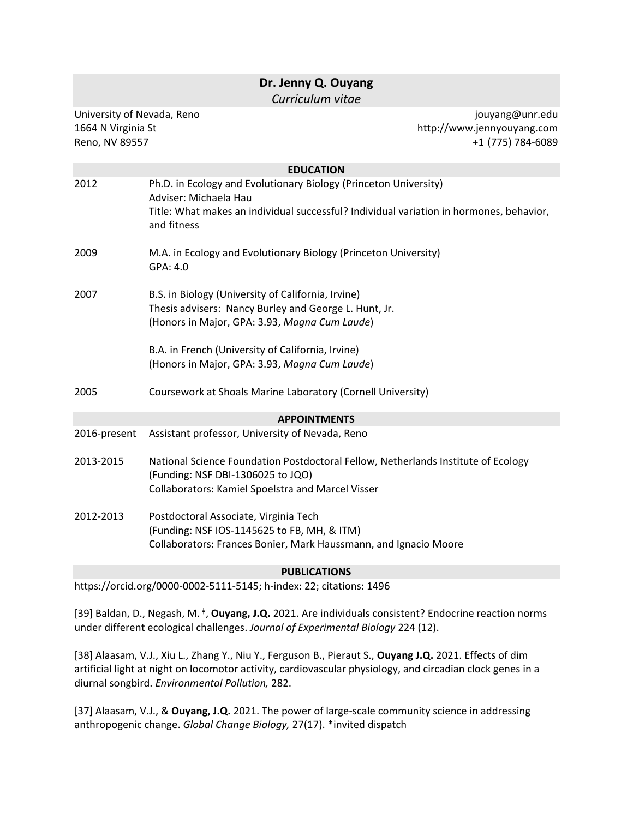|                                                                    | Dr. Jenny Q. Ouyang<br>Curriculum vitae                                                                                                                                                             |                                                                    |
|--------------------------------------------------------------------|-----------------------------------------------------------------------------------------------------------------------------------------------------------------------------------------------------|--------------------------------------------------------------------|
| University of Nevada, Reno<br>1664 N Virginia St<br>Reno, NV 89557 |                                                                                                                                                                                                     | jouyang@unr.edu<br>http://www.jennyouyang.com<br>+1 (775) 784-6089 |
|                                                                    | <b>EDUCATION</b>                                                                                                                                                                                    |                                                                    |
| 2012                                                               | Ph.D. in Ecology and Evolutionary Biology (Princeton University)<br>Adviser: Michaela Hau<br>Title: What makes an individual successful? Individual variation in hormones, behavior,<br>and fitness |                                                                    |
| 2009                                                               | M.A. in Ecology and Evolutionary Biology (Princeton University)<br>GPA: 4.0                                                                                                                         |                                                                    |
| 2007                                                               | B.S. in Biology (University of California, Irvine)<br>Thesis advisers: Nancy Burley and George L. Hunt, Jr.<br>(Honors in Major, GPA: 3.93, Magna Cum Laude)                                        |                                                                    |
|                                                                    | B.A. in French (University of California, Irvine)<br>(Honors in Major, GPA: 3.93, Magna Cum Laude)                                                                                                  |                                                                    |
| 2005                                                               | Coursework at Shoals Marine Laboratory (Cornell University)                                                                                                                                         |                                                                    |
|                                                                    | <b>APPOINTMENTS</b>                                                                                                                                                                                 |                                                                    |
| 2016-present                                                       | Assistant professor, University of Nevada, Reno                                                                                                                                                     |                                                                    |
| 2013-2015                                                          | National Science Foundation Postdoctoral Fellow, Netherlands Institute of Ecology<br>(Funding: NSF DBI-1306025 to JQO)<br>Collaborators: Kamiel Spoelstra and Marcel Visser                         |                                                                    |
| 2012-2013                                                          | Postdoctoral Associate, Virginia Tech<br>(Funding: NSF IOS-1145625 to FB, MH, & ITM)<br>Collaborators: Frances Bonier, Mark Haussmann, and Ignacio Moore                                            |                                                                    |
|                                                                    | <b>PUBLICATIONS</b>                                                                                                                                                                                 |                                                                    |
|                                                                    | https://orcid.org/0000-0002-5111-5145; h-index: 22; citations: 1496                                                                                                                                 |                                                                    |

[39] Baldan, D., Negash, M. <sup>ǂ</sup> , **Ouyang, J.Q.** 2021. Are individuals consistent? Endocrine reaction norms under different ecological challenges. *Journal of Experimental Biology* 224 (12).

[38] Alaasam, V.J., Xiu L., Zhang Y., Niu Y., Ferguson B., Pieraut S., **Ouyang J.Q.** 2021. Effects of dim artificial light at night on locomotor activity, cardiovascular physiology, and circadian clock genes in a diurnal songbird. *Environmental Pollution,* 282.

[37] Alaasam, V.J., & **Ouyang, J.Q.** 2021. The power of large-scale community science in addressing anthropogenic change. *Global Change Biology,* 27(17). \*invited dispatch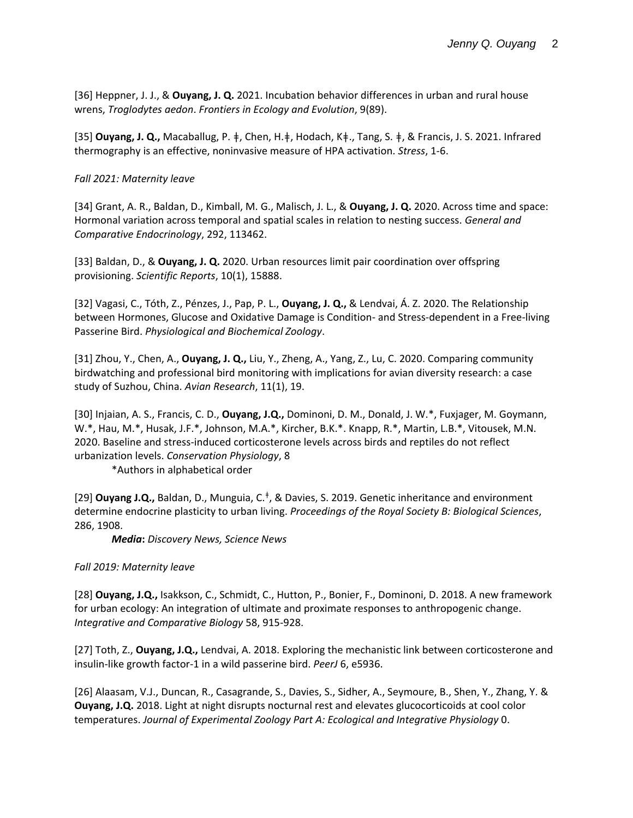[36] Heppner, J. J., & **Ouyang, J. Q.** 2021. Incubation behavior differences in urban and rural house wrens, *Troglodytes aedon*. *Frontiers in Ecology and Evolution*, 9(89).

[35] **Ouyang, J. Q.,** Macaballug, P. ǂ, Chen, H.ǂ, Hodach, Kǂ., Tang, S. ǂ, & Francis, J. S. 2021. Infrared thermography is an effective, noninvasive measure of HPA activation. *Stress*, 1-6.

### *Fall 2021: Maternity leave*

[34] Grant, A. R., Baldan, D., Kimball, M. G., Malisch, J. L., & **Ouyang, J. Q.** 2020. Across time and space: Hormonal variation across temporal and spatial scales in relation to nesting success. *General and Comparative Endocrinology*, 292, 113462.

[33] Baldan, D., & **Ouyang, J. Q.** 2020. Urban resources limit pair coordination over offspring provisioning. *Scientific Reports*, 10(1), 15888.

[32] Vagasi, C., Tóth, Z., Pénzes, J., Pap, P. L., **Ouyang, J. Q.,** & Lendvai, Á. Z. 2020. The Relationship between Hormones, Glucose and Oxidative Damage is Condition- and Stress-dependent in a Free-living Passerine Bird. *Physiological and Biochemical Zoology*.

[31] Zhou, Y., Chen, A., **Ouyang, J. Q.,** Liu, Y., Zheng, A., Yang, Z., Lu, C. 2020. Comparing community birdwatching and professional bird monitoring with implications for avian diversity research: a case study of Suzhou, China. *Avian Research*, 11(1), 19.

[30] Injaian, A. S., Francis, C. D., **Ouyang, J.Q.,** Dominoni, D. M., Donald, J. W.\*, Fuxjager, M. Goymann, W.\*, Hau, M.\*, Husak, J.F.\*, Johnson, M.A.\*, Kircher, B.K.\*. Knapp, R.\*, Martin, L.B.\*, Vitousek, M.N. 2020. Baseline and stress-induced corticosterone levels across birds and reptiles do not reflect urbanization levels. *Conservation Physiology*, 8

\*Authors in alphabetical order

[29] **Ouyang J.Q.,** Baldan, D., Munguia, C.<sup>‡</sup>, & Davies, S. 2019. Genetic inheritance and environment determine endocrine plasticity to urban living. *Proceedings of the Royal Society B: Biological Sciences*, 286, 1908.

*Media***:** *Discovery News, Science News*

### *Fall 2019: Maternity leave*

[28] **Ouyang, J.Q.,** Isakkson, C., Schmidt, C., Hutton, P., Bonier, F., Dominoni, D. 2018. A new framework for urban ecology: An integration of ultimate and proximate responses to anthropogenic change. *Integrative and Comparative Biology* 58, 915-928.

[27] Toth, Z., **Ouyang, J.Q.,** Lendvai, A. 2018. Exploring the mechanistic link between corticosterone and insulin-like growth factor-1 in a wild passerine bird. *PeerJ* 6, e5936.

[26] Alaasam, V.J., Duncan, R., Casagrande, S., Davies, S., Sidher, A., Seymoure, B., Shen, Y., Zhang, Y. & **Ouyang, J.Q.** 2018. Light at night disrupts nocturnal rest and elevates glucocorticoids at cool color temperatures. *Journal of Experimental Zoology Part A: Ecological and Integrative Physiology* 0.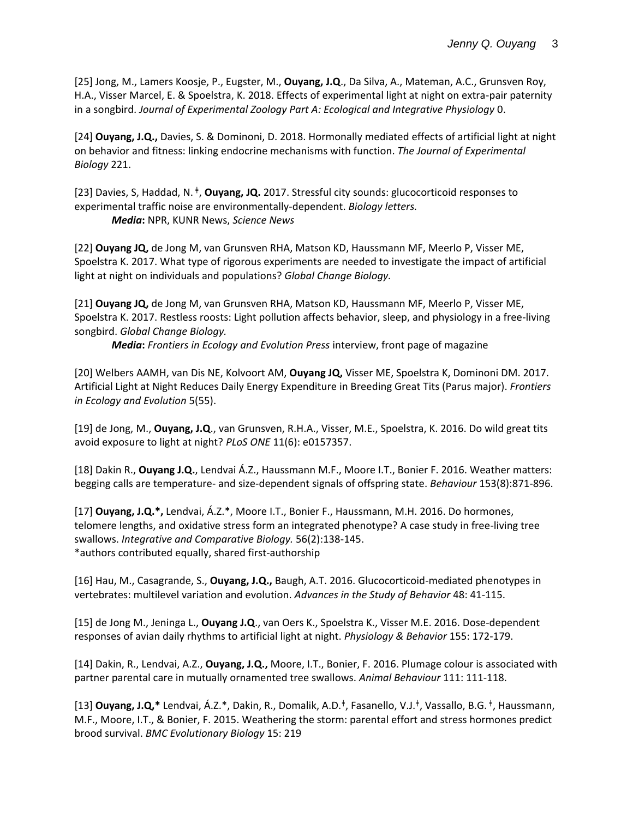[25] Jong, M., Lamers Koosje, P., Eugster, M., **Ouyang, J.Q**., Da Silva, A., Mateman, A.C., Grunsven Roy, H.A., Visser Marcel, E. & Spoelstra, K. 2018. Effects of experimental light at night on extra-pair paternity in a songbird. *Journal of Experimental Zoology Part A: Ecological and Integrative Physiology* 0.

[24] **Ouyang, J.Q.,** Davies, S. & Dominoni, D. 2018. Hormonally mediated effects of artificial light at night on behavior and fitness: linking endocrine mechanisms with function. *The Journal of Experimental Biology* 221.

[23] Davies, S, Haddad, N. <sup>ǂ</sup> , **Ouyang, JQ.** 2017. Stressful city sounds: glucocorticoid responses to experimental traffic noise are environmentally-dependent. *Biology letters. Media***:** NPR, KUNR News, *Science News*

[22] **Ouyang JQ,** de Jong M, van Grunsven RHA, Matson KD, Haussmann MF, Meerlo P, Visser ME, Spoelstra K. 2017. What type of rigorous experiments are needed to investigate the impact of artificial light at night on individuals and populations? *Global Change Biology.*

[21] **Ouyang JQ,** de Jong M, van Grunsven RHA, Matson KD, Haussmann MF, Meerlo P, Visser ME, Spoelstra K. 2017. Restless roosts: Light pollution affects behavior, sleep, and physiology in a free-living songbird. *Global Change Biology.*

*Media***:** *Frontiers in Ecology and Evolution Press* interview, front page of magazine

[20] Welbers AAMH, van Dis NE, Kolvoort AM, **Ouyang JQ,** Visser ME, Spoelstra K, Dominoni DM. 2017. Artificial Light at Night Reduces Daily Energy Expenditure in Breeding Great Tits (Parus major). *Frontiers in Ecology and Evolution* 5(55).

[19] de Jong, M., **Ouyang, J.Q**., van Grunsven, R.H.A., Visser, M.E., Spoelstra, K. 2016. Do wild great tits avoid exposure to light at night? *PLoS ONE* 11(6): e0157357.

[18] Dakin R., **Ouyang J.Q.**, Lendvai Á.Z., Haussmann M.F., Moore I.T., Bonier F. 2016. Weather matters: begging calls are temperature- and size-dependent signals of offspring state. *Behaviour* 153(8):871-896.

[17] **Ouyang, J.Q.\*,** Lendvai, Á.Z.\*, Moore I.T., Bonier F., Haussmann, M.H. 2016. Do hormones, telomere lengths, and oxidative stress form an integrated phenotype? A case study in free-living tree swallows. *Integrative and Comparative Biology.* 56(2):138-145. \*authors contributed equally, shared first-authorship

[16] Hau, M., Casagrande, S., **Ouyang, J.Q.,** Baugh, A.T. 2016. Glucocorticoid-mediated phenotypes in vertebrates: multilevel variation and evolution. *Advances in the Study of Behavior* 48: 41-115.

[15] de Jong M., Jeninga L., **Ouyang J.Q**., van Oers K., Spoelstra K., Visser M.E. 2016. Dose-dependent responses of avian daily rhythms to artificial light at night. *Physiology & Behavior* 155: 172-179.

[14] Dakin, R., Lendvai, A.Z., **Ouyang, J.Q.,** Moore, I.T., Bonier, F. 2016. Plumage colour is associated with partner parental care in mutually ornamented tree swallows. *Animal Behaviour* 111: 111-118.

[13] **Ouyang, J.Q,\*** Lendvai, Á.Z.\*, Dakin, R., Domalik, A.D.<sup>‡</sup>, Fasanello, V.J.<sup>‡</sup>, Vassallo, B.G. <sup>‡</sup>, Haussmann, M.F., Moore, I.T., & Bonier, F. 2015. Weathering the storm: parental effort and stress hormones predict brood survival. *BMC Evolutionary Biology* 15: 219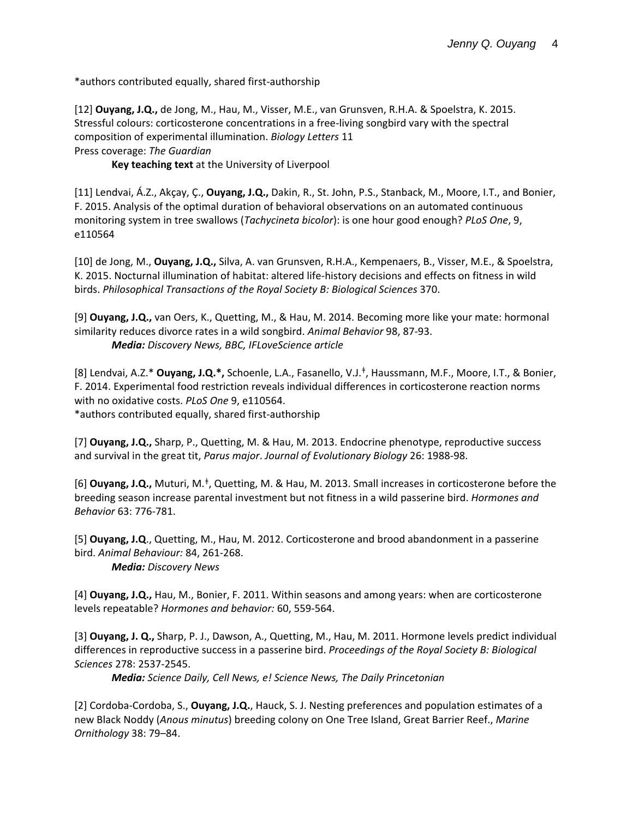\*authors contributed equally, shared first-authorship

[12] **Ouyang, J.Q.,** de Jong, M., Hau, M., Visser, M.E., van Grunsven, R.H.A. & Spoelstra, K. 2015. Stressful colours: corticosterone concentrations in a free-living songbird vary with the spectral composition of experimental illumination. *Biology Letters* 11 Press coverage: *The Guardian*

**Key teaching text** at the University of Liverpool

[11] Lendvai, Á.Z., Akçay, Ç., **Ouyang, J.Q.,** Dakin, R., St. John, P.S., Stanback, M., Moore, I.T., and Bonier, F. 2015. Analysis of the optimal duration of behavioral observations on an automated continuous monitoring system in tree swallows (*Tachycineta bicolor*): is one hour good enough? *PLoS One*, 9, e110564

[10] de Jong, M., **Ouyang, J.Q.,** Silva, A. van Grunsven, R.H.A., Kempenaers, B., Visser, M.E., & Spoelstra, K. 2015. Nocturnal illumination of habitat: altered life-history decisions and effects on fitness in wild birds. *Philosophical Transactions of the Royal Society B: Biological Sciences* 370.

[9] **Ouyang, J.Q.,** van Oers, K., Quetting, M., & Hau, M. 2014. Becoming more like your mate: hormonal similarity reduces divorce rates in a wild songbird. *Animal Behavior* 98, 87-93. *Media: Discovery News, BBC, IFLoveScience article*

[8] Lendvai, A.Z.\* **Ouyang, J.Q.\*,** Schoenle, L.A., Fasanello, V.J.<sup>ǂ</sup> , Haussmann, M.F., Moore, I.T., & Bonier, F. 2014. Experimental food restriction reveals individual differences in corticosterone reaction norms with no oxidative costs. *PLoS One* 9, e110564. \*authors contributed equally, shared first-authorship

[7] **Ouyang, J.Q.,** Sharp, P., Quetting, M. & Hau, M. 2013. Endocrine phenotype, reproductive success and survival in the great tit, *Parus major*. *Journal of Evolutionary Biology* 26: 1988-98.

[6] **Ouyang, J.Q.,** Muturi, M.<sup>‡</sup>, Quetting, M. & Hau, M. 2013. Small increases in corticosterone before the breeding season increase parental investment but not fitness in a wild passerine bird. *Hormones and Behavior* 63: 776-781.

[5] **Ouyang, J.Q**., Quetting, M., Hau, M. 2012. Corticosterone and brood abandonment in a passerine bird. *Animal Behaviour:* 84, 261-268. *Media: Discovery News*

[4] **Ouyang, J.Q.,** Hau, M., Bonier, F. 2011. Within seasons and among years: when are corticosterone levels repeatable? *Hormones and behavior:* 60, 559-564.

[3] **Ouyang, J. Q.,** Sharp, P. J., Dawson, A., Quetting, M., Hau, M. 2011. Hormone levels predict individual differences in reproductive success in a passerine bird. *Proceedings of the Royal Society B: Biological Sciences* 278: 2537-2545.

*Media: Science Daily, Cell News, e! Science News, The Daily Princetonian*

[2] Cordoba-Cordoba, S., **Ouyang, J.Q.**, Hauck, S. J. Nesting preferences and population estimates of a new Black Noddy (*Anous minutus*) breeding colony on One Tree Island, Great Barrier Reef., *Marine Ornithology* 38: 79–84.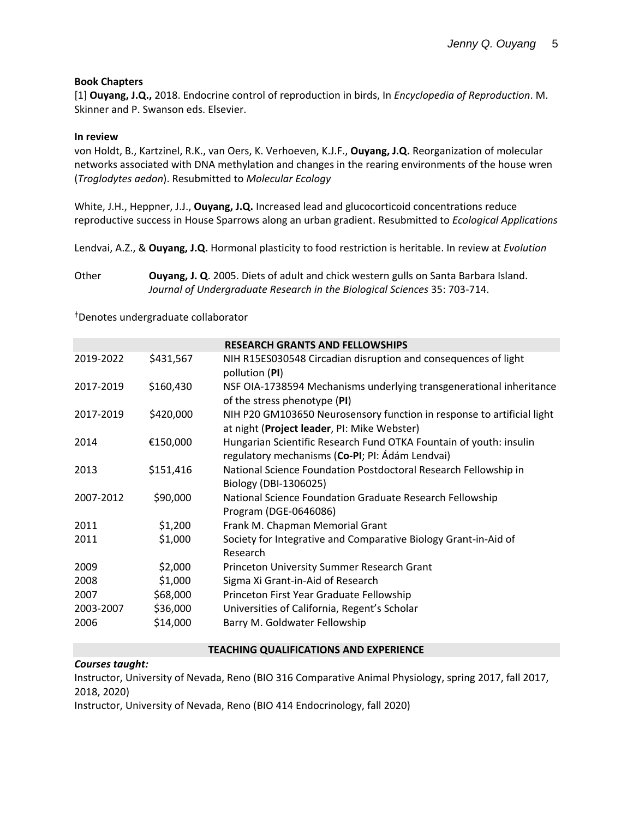### **Book Chapters**

[1] **Ouyang, J.Q.,** 2018. Endocrine control of reproduction in birds, In *Encyclopedia of Reproduction*. M. Skinner and P. Swanson eds. Elsevier.

### **In review**

von Holdt, B., Kartzinel, R.K., van Oers, K. Verhoeven, K.J.F., **Ouyang, J.Q.** Reorganization of molecular networks associated with DNA methylation and changes in the rearing environments of the house wren (*Troglodytes aedon*). Resubmitted to *Molecular Ecology*

White, J.H., Heppner, J.J., **Ouyang, J.Q.** Increased lead and glucocorticoid concentrations reduce reproductive success in House Sparrows along an urban gradient. Resubmitted to *Ecological Applications*

Lendvai, A.Z., & **Ouyang, J.Q.** Hormonal plasticity to food restriction is heritable. In review at *Evolution*

Other **Ouyang, J. Q**. 2005. Diets of adult and chick western gulls on Santa Barbara Island. *Journal of Undergraduate Research in the Biological Sciences* 35: 703-714.

<sup>ǂ</sup>Denotes undergraduate collaborator

|           |           | <b>RESEARCH GRANTS AND FELLOWSHIPS</b>                                                                                |
|-----------|-----------|-----------------------------------------------------------------------------------------------------------------------|
| 2019-2022 | \$431,567 | NIH R15ES030548 Circadian disruption and consequences of light<br>pollution (PI)                                      |
| 2017-2019 | \$160,430 | NSF OIA-1738594 Mechanisms underlying transgenerational inheritance<br>of the stress phenotype (PI)                   |
| 2017-2019 | \$420,000 | NIH P20 GM103650 Neurosensory function in response to artificial light<br>at night (Project leader, PI: Mike Webster) |
| 2014      | €150,000  | Hungarian Scientific Research Fund OTKA Fountain of youth: insulin<br>regulatory mechanisms (Co-PI; PI: Ádám Lendvai) |
| 2013      | \$151,416 | National Science Foundation Postdoctoral Research Fellowship in<br>Biology (DBI-1306025)                              |
| 2007-2012 | \$90,000  | National Science Foundation Graduate Research Fellowship<br>Program (DGE-0646086)                                     |
| 2011      | \$1,200   | Frank M. Chapman Memorial Grant                                                                                       |
| 2011      | \$1,000   | Society for Integrative and Comparative Biology Grant-in-Aid of<br>Research                                           |
| 2009      | \$2,000   | Princeton University Summer Research Grant                                                                            |
| 2008      | \$1,000   | Sigma Xi Grant-in-Aid of Research                                                                                     |
| 2007      | \$68,000  | Princeton First Year Graduate Fellowship                                                                              |
| 2003-2007 | \$36,000  | Universities of California, Regent's Scholar                                                                          |
| 2006      | \$14,000  | Barry M. Goldwater Fellowship                                                                                         |

#### **TEACHING QUALIFICATIONS AND EXPERIENCE**

*Courses taught:*

Instructor, University of Nevada, Reno (BIO 316 Comparative Animal Physiology, spring 2017, fall 2017, 2018, 2020)

Instructor, University of Nevada, Reno (BIO 414 Endocrinology, fall 2020)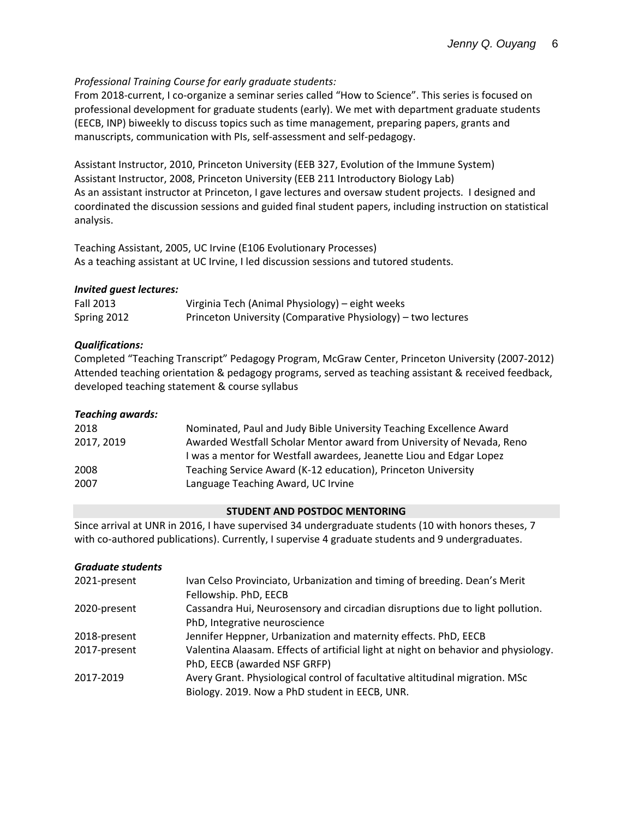# *Professional Training Course for early graduate students:*

From 2018-current, I co-organize a seminar series called "How to Science". This series is focused on professional development for graduate students (early). We met with department graduate students (EECB, INP) biweekly to discuss topics such as time management, preparing papers, grants and manuscripts, communication with PIs, self-assessment and self-pedagogy.

Assistant Instructor, 2010, Princeton University (EEB 327, Evolution of the Immune System) Assistant Instructor, 2008, Princeton University (EEB 211 Introductory Biology Lab) As an assistant instructor at Princeton, I gave lectures and oversaw student projects. I designed and coordinated the discussion sessions and guided final student papers, including instruction on statistical analysis.

Teaching Assistant, 2005, UC Irvine (E106 Evolutionary Processes) As a teaching assistant at UC Irvine, I led discussion sessions and tutored students.

# *Invited guest lectures:*

| <b>Fall 2013</b> | Virginia Tech (Animal Physiology) – eight weeks              |
|------------------|--------------------------------------------------------------|
| Spring 2012      | Princeton University (Comparative Physiology) – two lectures |

# *Qualifications:*

Completed "Teaching Transcript" Pedagogy Program, McGraw Center, Princeton University (2007-2012) Attended teaching orientation & pedagogy programs, served as teaching assistant & received feedback, developed teaching statement & course syllabus

### *Teaching awards:*

| 2018       | Nominated, Paul and Judy Bible University Teaching Excellence Award   |
|------------|-----------------------------------------------------------------------|
| 2017, 2019 | Awarded Westfall Scholar Mentor award from University of Nevada, Reno |
|            | I was a mentor for Westfall awardees, Jeanette Liou and Edgar Lopez   |
| 2008       | Teaching Service Award (K-12 education), Princeton University         |
| 2007       | Language Teaching Award, UC Irvine                                    |

### **STUDENT AND POSTDOC MENTORING**

Since arrival at UNR in 2016, I have supervised 34 undergraduate students (10 with honors theses, 7 with co-authored publications). Currently, I supervise 4 graduate students and 9 undergraduates.

### *Graduate students*

| 2021-present | Ivan Celso Provinciato, Urbanization and timing of breeding. Dean's Merit           |  |
|--------------|-------------------------------------------------------------------------------------|--|
|              | Fellowship. PhD, EECB                                                               |  |
| 2020-present | Cassandra Hui, Neurosensory and circadian disruptions due to light pollution.       |  |
|              | PhD, Integrative neuroscience                                                       |  |
| 2018-present | Jennifer Heppner, Urbanization and maternity effects. PhD, EECB                     |  |
| 2017-present | Valentina Alaasam. Effects of artificial light at night on behavior and physiology. |  |
|              | PhD, EECB (awarded NSF GRFP)                                                        |  |
| 2017-2019    | Avery Grant. Physiological control of facultative altitudinal migration. MSc        |  |
|              | Biology. 2019. Now a PhD student in EECB, UNR.                                      |  |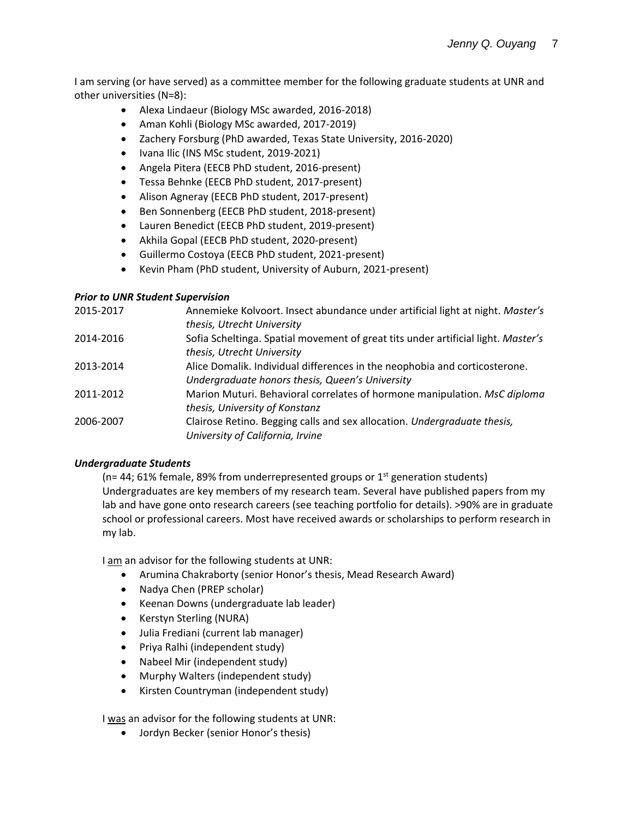I am serving (or have served) as a committee member for the following graduate students at UNR and other universities (N=8):

- Alexa Lindaeur (Biology MSc awarded, 2016-2018)
- Aman Kohli (Biology MSc awarded, 2017-2019)
- Zachery Forsburg (PhD awarded, Texas State University, 2016-2020)
- Ivana Ilic (INS MSc student, 2019-2021)
- Angela Pitera (EECB PhD student, 2016-present)
- Tessa Behnke (EECB PhD student, 2017-present)
- Alison Agneray (EECB PhD student, 2017-present)
- Ben Sonnenberg (EECB PhD student, 2018-present)
- Lauren Benedict (EECB PhD student, 2019-present)
- Akhila Gopal (EECB PhD student, 2020-present)
- Guillermo Costoya (EECB PhD student, 2021-present)
- Kevin Pham (PhD student, University of Auburn, 2021-present)

### *Prior to UNR Student Supervision*

| 2015-2017 | Annemieke Kolvoort. Insect abundance under artificial light at night. Master's<br>thesis, Utrecht University    |
|-----------|-----------------------------------------------------------------------------------------------------------------|
| 2014-2016 | Sofia Scheltinga. Spatial movement of great tits under artificial light. Master's<br>thesis, Utrecht University |
| 2013-2014 | Alice Domalik. Individual differences in the neophobia and corticosterone.                                      |
|           | Undergraduate honors thesis, Queen's University                                                                 |
| 2011-2012 | Marion Muturi. Behavioral correlates of hormone manipulation. MsC diploma                                       |
|           | thesis, University of Konstanz                                                                                  |
| 2006-2007 | Clairose Retino. Begging calls and sex allocation. Undergraduate thesis,                                        |
|           | University of California, Irvine                                                                                |
|           |                                                                                                                 |

### *Undergraduate Students*

( $n= 44$ ; 61% female, 89% from underrepresented groups or 1<sup>st</sup> generation students) Undergraduates are key members of my research team. Several have published papers from my lab and have gone onto research careers (see teaching portfolio for details). >90% are in graduate school or professional careers. Most have received awards or scholarships to perform research in my lab.

I am an advisor for the following students at UNR:

- Arumina Chakraborty (senior Honor's thesis, Mead Research Award)
- Nadya Chen (PREP scholar)
- Keenan Downs (undergraduate lab leader)
- Kerstyn Sterling (NURA)
- Julia Frediani (current lab manager)
- Priya Ralhi (independent study)
- Nabeel Mir (independent study)
- Murphy Walters (independent study)
- Kirsten Countryman (independent study)

I was an advisor for the following students at UNR:

• Jordyn Becker (senior Honor's thesis)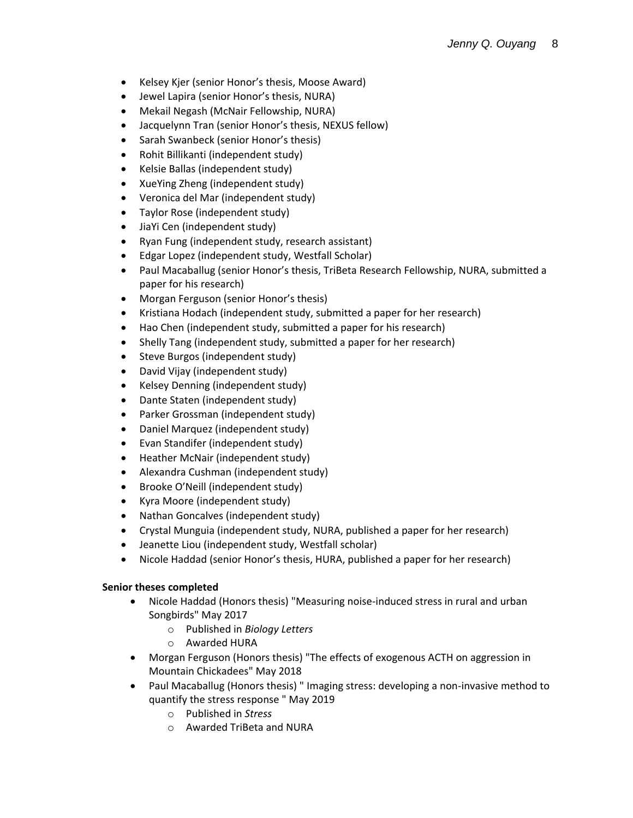- Kelsey Kjer (senior Honor's thesis, Moose Award)
- Jewel Lapira (senior Honor's thesis, NURA)
- Mekail Negash (McNair Fellowship, NURA)
- Jacquelynn Tran (senior Honor's thesis, NEXUS fellow)
- Sarah Swanbeck (senior Honor's thesis)
- Rohit Billikanti (independent study)
- Kelsie Ballas (independent study)
- XueYing Zheng (independent study)
- Veronica del Mar (independent study)
- Taylor Rose (independent study)
- JiaYi Cen (independent study)
- Ryan Fung (independent study, research assistant)
- Edgar Lopez (independent study, Westfall Scholar)
- Paul Macaballug (senior Honor's thesis, TriBeta Research Fellowship, NURA, submitted a paper for his research)
- Morgan Ferguson (senior Honor's thesis)
- Kristiana Hodach (independent study, submitted a paper for her research)
- Hao Chen (independent study, submitted a paper for his research)
- Shelly Tang (independent study, submitted a paper for her research)
- Steve Burgos (independent study)
- David Vijay (independent study)
- Kelsey Denning (independent study)
- Dante Staten (independent study)
- Parker Grossman (independent study)
- Daniel Marquez (independent study)
- Evan Standifer (independent study)
- Heather McNair (independent study)
- Alexandra Cushman (independent study)
- Brooke O'Neill (independent study)
- Kyra Moore (independent study)
- Nathan Goncalves (independent study)
- Crystal Munguia (independent study, NURA, published a paper for her research)
- Jeanette Liou (independent study, Westfall scholar)
- Nicole Haddad (senior Honor's thesis, HURA, published a paper for her research)

# **Senior theses completed**

- Nicole Haddad (Honors thesis) "Measuring noise-induced stress in rural and urban Songbirds" May 2017
	- o Published in *Biology Letters*
	- o Awarded HURA
- Morgan Ferguson (Honors thesis) "The effects of exogenous ACTH on aggression in Mountain Chickadees" May 2018
- Paul Macaballug (Honors thesis) " Imaging stress: developing a non-invasive method to quantify the stress response " May 2019
	- o Published in *Stress*
	- o Awarded TriBeta and NURA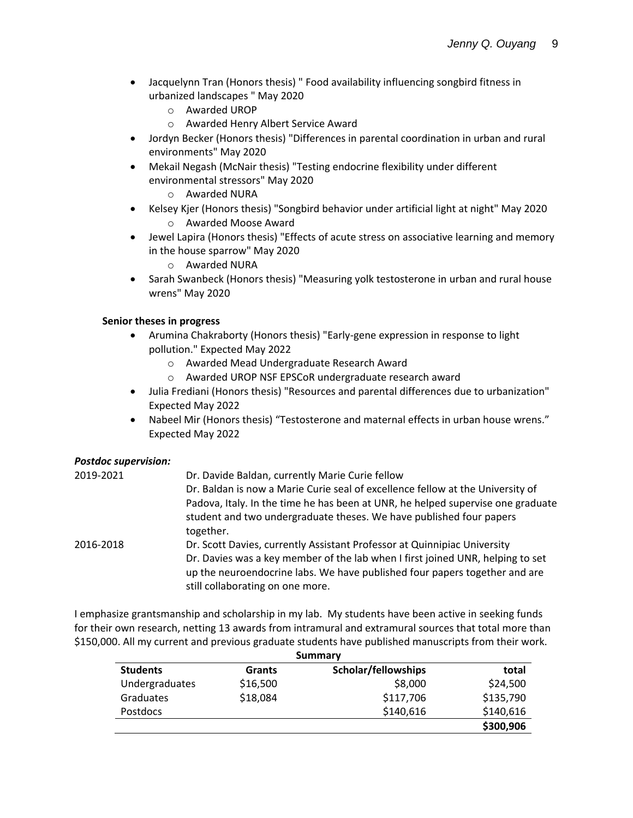- Jacquelynn Tran (Honors thesis) " Food availability influencing songbird fitness in urbanized landscapes " May 2020
	- o Awarded UROP
	- o Awarded Henry Albert Service Award
- Jordyn Becker (Honors thesis) "Differences in parental coordination in urban and rural environments" May 2020
- Mekail Negash (McNair thesis) "Testing endocrine flexibility under different environmental stressors" May 2020
	- o Awarded NURA
- Kelsey Kjer (Honors thesis) "Songbird behavior under artificial light at night" May 2020 o Awarded Moose Award
- Jewel Lapira (Honors thesis) "Effects of acute stress on associative learning and memory in the house sparrow" May 2020
	- o Awarded NURA
- Sarah Swanbeck (Honors thesis) "Measuring yolk testosterone in urban and rural house wrens" May 2020

# **Senior theses in progress**

- Arumina Chakraborty (Honors thesis) "Early-gene expression in response to light pollution." Expected May 2022
	- o Awarded Mead Undergraduate Research Award
	- o Awarded UROP NSF EPSCoR undergraduate research award
- Julia Frediani (Honors thesis) "Resources and parental differences due to urbanization" Expected May 2022
- Nabeel Mir (Honors thesis) "Testosterone and maternal effects in urban house wrens." Expected May 2022

# *Postdoc supervision:*

| 2019-2021 | Dr. Davide Baldan, currently Marie Curie fellow                                                                                                                                                  |
|-----------|--------------------------------------------------------------------------------------------------------------------------------------------------------------------------------------------------|
|           | Dr. Baldan is now a Marie Curie seal of excellence fellow at the University of                                                                                                                   |
|           | Padova, Italy. In the time he has been at UNR, he helped supervise one graduate                                                                                                                  |
|           | student and two undergraduate theses. We have published four papers<br>together.                                                                                                                 |
| 2016-2018 | Dr. Scott Davies, currently Assistant Professor at Quinnipiac University                                                                                                                         |
|           | Dr. Davies was a key member of the lab when I first joined UNR, helping to set<br>up the neuroendocrine labs. We have published four papers together and are<br>still collaborating on one more. |
|           |                                                                                                                                                                                                  |

I emphasize grantsmanship and scholarship in my lab. My students have been active in seeking funds for their own research, netting 13 awards from intramural and extramural sources that total more than \$150,000. All my current and previous graduate students have published manuscripts from their work.

| Summary         |          |                     |           |
|-----------------|----------|---------------------|-----------|
| <b>Students</b> | Grants   | Scholar/fellowships | total     |
| Undergraduates  | \$16,500 | \$8,000             | \$24,500  |
| Graduates       | \$18,084 | \$117,706           | \$135,790 |
| <b>Postdocs</b> |          | \$140,616           | \$140,616 |
|                 |          |                     | \$300,906 |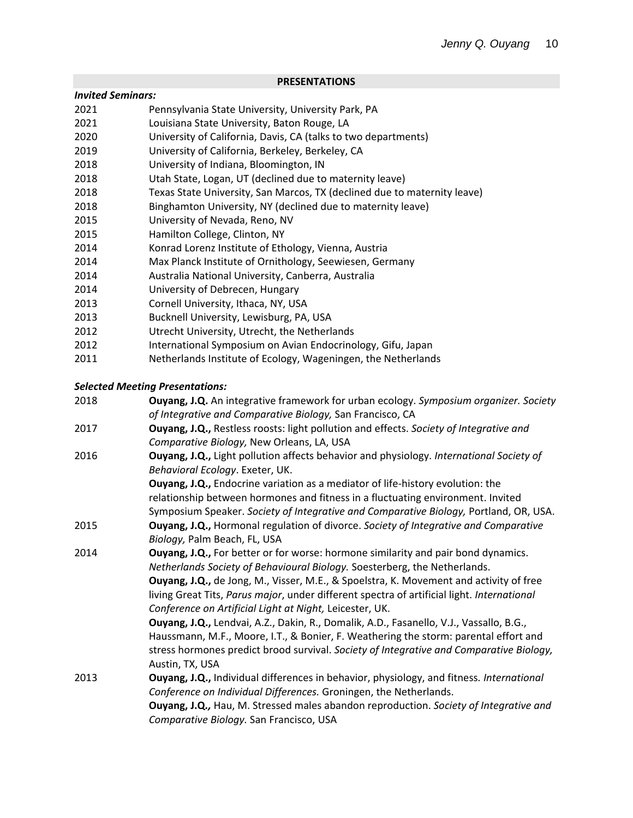#### **PRESENTATIONS**

#### *Invited Seminars:*

- 2021 Pennsylvania State University, University Park, PA
- 2021 Louisiana State University, Baton Rouge, LA
- 2020 University of California, Davis, CA (talks to two departments)
- 2019 University of California, Berkeley, Berkeley, CA
- 2018 University of Indiana, Bloomington, IN
- 2018 Utah State, Logan, UT (declined due to maternity leave)
- 2018 Texas State University, San Marcos, TX (declined due to maternity leave)
- 2018 Binghamton University, NY (declined due to maternity leave)
- 2015 University of Nevada, Reno, NV
- 2015 Hamilton College, Clinton, NY
- 2014 Konrad Lorenz Institute of Ethology, Vienna, Austria
- 2014 Max Planck Institute of Ornithology, Seewiesen, Germany
- 2014 Australia National University, Canberra, Australia
- 2014 University of Debrecen, Hungary
- 2013 Cornell University, Ithaca, NY, USA
- 2013 Bucknell University, Lewisburg, PA, USA
- 2012 Utrecht University, Utrecht, the Netherlands
- 2012 International Symposium on Avian Endocrinology, Gifu, Japan
- 2011 Netherlands Institute of Ecology, Wageningen, the Netherlands

### *Selected Meeting Presentations:*

| 2018 | Ouyang, J.Q. An integrative framework for urban ecology. Symposium organizer. Society<br>of Integrative and Comparative Biology, San Francisco, CA                                                                                                                                                                                                                                                                                                                                                                                                                                                                                                                                                                        |
|------|---------------------------------------------------------------------------------------------------------------------------------------------------------------------------------------------------------------------------------------------------------------------------------------------------------------------------------------------------------------------------------------------------------------------------------------------------------------------------------------------------------------------------------------------------------------------------------------------------------------------------------------------------------------------------------------------------------------------------|
| 2017 | Ouyang, J.Q., Restless roosts: light pollution and effects. Society of Integrative and<br>Comparative Biology, New Orleans, LA, USA                                                                                                                                                                                                                                                                                                                                                                                                                                                                                                                                                                                       |
| 2016 | Ouyang, J.Q., Light pollution affects behavior and physiology. International Society of<br>Behavioral Ecology. Exeter, UK.                                                                                                                                                                                                                                                                                                                                                                                                                                                                                                                                                                                                |
|      | Ouyang, J.Q., Endocrine variation as a mediator of life-history evolution: the<br>relationship between hormones and fitness in a fluctuating environment. Invited<br>Symposium Speaker. Society of Integrative and Comparative Biology, Portland, OR, USA.                                                                                                                                                                                                                                                                                                                                                                                                                                                                |
| 2015 | Ouyang, J.Q., Hormonal regulation of divorce. Society of Integrative and Comparative<br>Biology, Palm Beach, FL, USA                                                                                                                                                                                                                                                                                                                                                                                                                                                                                                                                                                                                      |
| 2014 | Ouyang, J.Q., For better or for worse: hormone similarity and pair bond dynamics.<br>Netherlands Society of Behavioural Biology. Soesterberg, the Netherlands.<br><b>Ouyang, J.Q.,</b> de Jong, M., Visser, M.E., & Spoelstra, K. Movement and activity of free<br>living Great Tits, Parus major, under different spectra of artificial light. International<br>Conference on Artificial Light at Night, Leicester, UK.<br>Ouyang, J.Q., Lendvai, A.Z., Dakin, R., Domalik, A.D., Fasanello, V.J., Vassallo, B.G.,<br>Haussmann, M.F., Moore, I.T., & Bonier, F. Weathering the storm: parental effort and<br>stress hormones predict brood survival. Society of Integrative and Comparative Biology,<br>Austin, TX, USA |
| 2013 | Ouyang, J.Q., Individual differences in behavior, physiology, and fitness. International<br>Conference on Individual Differences. Groningen, the Netherlands.<br>Ouyang, J.Q., Hau, M. Stressed males abandon reproduction. Society of Integrative and<br>Comparative Biology. San Francisco, USA                                                                                                                                                                                                                                                                                                                                                                                                                         |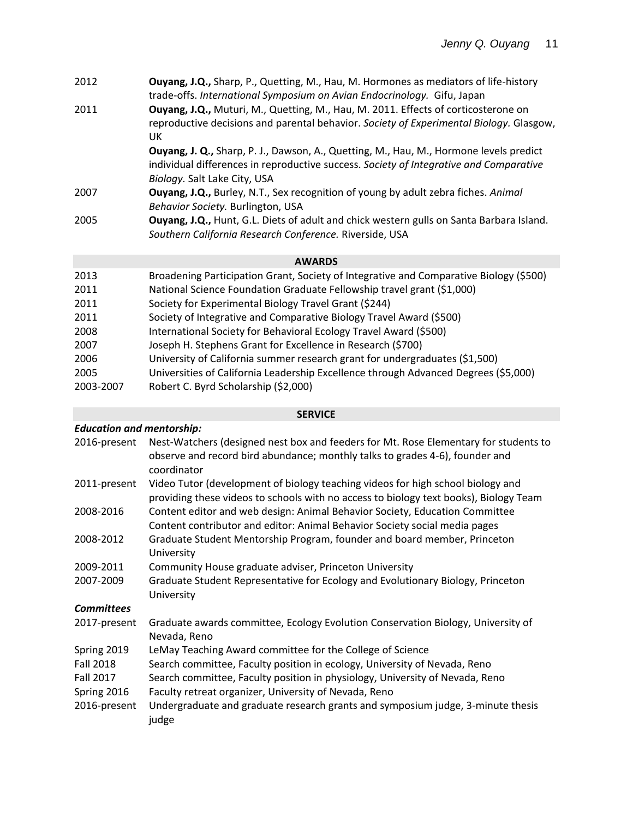| 2012                         | <b>Ouyang, J.Q., Sharp, P., Quetting, M., Hau, M. Hormones as mediators of life-history</b><br>trade-offs. International Symposium on Avian Endocrinology. Gifu, Japan                                                  |
|------------------------------|-------------------------------------------------------------------------------------------------------------------------------------------------------------------------------------------------------------------------|
| 2011                         | Ouyang, J.Q., Muturi, M., Quetting, M., Hau, M. 2011. Effects of corticosterone on<br>reproductive decisions and parental behavior. Society of Experimental Biology. Glasgow,<br>UK.                                    |
|                              | <b>Ouyang, J. Q., Sharp, P. J., Dawson, A., Quetting, M., Hau, M., Hormone levels predict</b><br>individual differences in reproductive success. Society of Integrative and Comparative<br>Biology. Salt Lake City, USA |
| 2007                         | <b>Ouyang, J.Q., Burley, N.T., Sex recognition of young by adult zebra fiches. Animal</b><br>Behavior Society. Burlington, USA                                                                                          |
| 2005                         | Ouyang, J.Q., Hunt, G.L. Diets of adult and chick western gulls on Santa Barbara Island.<br>Southern California Research Conference. Riverside, USA                                                                     |
|                              | <b>AWARDS</b>                                                                                                                                                                                                           |
| 2013<br>$\sim$ $\sim$ $\sim$ | Broadening Participation Grant, Society of Integrative and Comparative Biology (\$500)<br>Martin algusta et alius guilla et la dus distancia (da goo).                                                                  |

- 2011 National Science Foundation Graduate Fellowship travel grant (\$1,000) 2011 Society for Experimental Biology Travel Grant (\$244)
- 2011 Society of Integrative and Comparative Biology Travel Award (\$500)
- 2008 International Society for Behavioral Ecology Travel Award (\$500)
- 2007 Joseph H. Stephens Grant for Excellence in Research (\$700)
- 2006 University of California summer research grant for undergraduates (\$1,500)
- 2005 Universities of California Leadership Excellence through Advanced Degrees (\$5,000)
- 2003-2007 Robert C. Byrd Scholarship (\$2,000)

# **SERVICE**

# *Education and mentorship:* 2016-present Nest-Watchers (designed nest box and feeders for Mt. Rose Elementary for students to observe and record bird abundance; monthly talks to grades 4-6), founder and coordinator 2011-present Video Tutor (development of biology teaching videos for high school biology and providing these videos to schools with no access to biology text books), Biology Team 2008-2016 Content editor and web design: Animal Behavior Society, Education Committee Content contributor and editor: Animal Behavior Society social media pages 2008-2012 Graduate Student Mentorship Program, founder and board member, Princeton University 2009-2011 Community House graduate adviser, Princeton University 2007-2009 Graduate Student Representative for Ecology and Evolutionary Biology, Princeton University *Committees* 2017-present Graduate awards committee, Ecology Evolution Conservation Biology, University of Nevada, Reno Spring 2019 LeMay Teaching Award committee for the College of Science Fall 2018 Search committee, Faculty position in ecology, University of Nevada, Reno Fall 2017 Search committee, Faculty position in physiology, University of Nevada, Reno Spring 2016 Faculty retreat organizer, University of Nevada, Reno 2016-present Undergraduate and graduate research grants and symposium judge, 3-minute thesis judge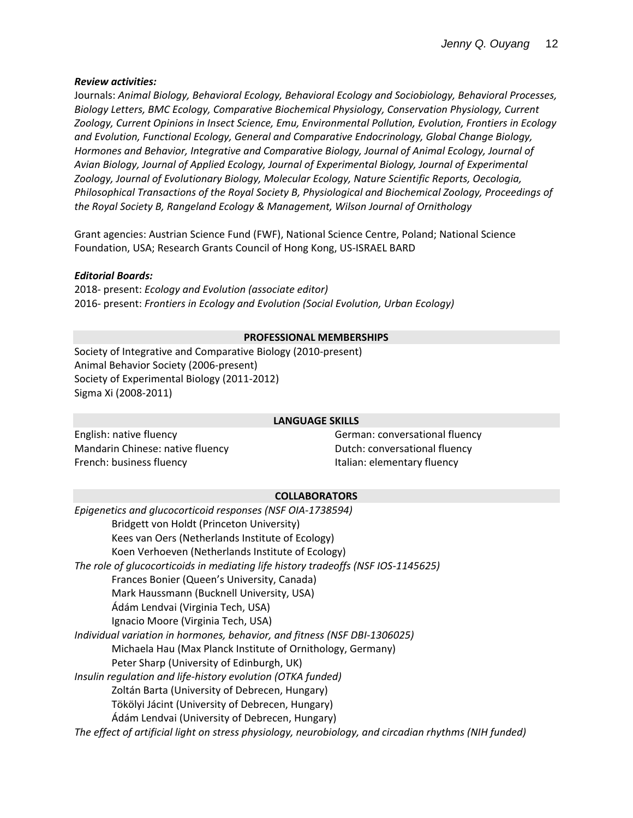### *Review activities:*

Journals: *Animal Biology, Behavioral Ecology, Behavioral Ecology and Sociobiology, Behavioral Processes, Biology Letters, BMC Ecology, Comparative Biochemical Physiology, Conservation Physiology, Current Zoology, Current Opinions in Insect Science, Emu, Environmental Pollution, Evolution, Frontiers in Ecology and Evolution, Functional Ecology, General and Comparative Endocrinology, Global Change Biology, Hormones and Behavior, Integrative and Comparative Biology, Journal of Animal Ecology, Journal of Avian Biology, Journal of Applied Ecology, Journal of Experimental Biology, Journal of Experimental Zoology, Journal of Evolutionary Biology, Molecular Ecology, Nature Scientific Reports, Oecologia, Philosophical Transactions of the Royal Society B, Physiological and Biochemical Zoology, Proceedings of the Royal Society B, Rangeland Ecology & Management, Wilson Journal of Ornithology*

Grant agencies: Austrian Science Fund (FWF), National Science Centre, Poland; National Science Foundation, USA; Research Grants Council of Hong Kong, US-ISRAEL BARD

### *Editorial Boards:*

2018- present: *Ecology and Evolution (associate editor)* 2016- present: *Frontiers in Ecology and Evolution (Social Evolution, Urban Ecology)*

### **PROFESSIONAL MEMBERSHIPS**

Society of Integrative and Comparative Biology (2010-present) Animal Behavior Society (2006-present) Society of Experimental Biology (2011-2012) Sigma Xi (2008-2011)

#### **LANGUAGE SKILLS**

English: native fluency example and the German: conversational fluency Mandarin Chinese: native fluency **Dutch: Conversational fluency** Dutch: conversational fluency French: business fluency **Italian: elementary fluency** 

#### **COLLABORATORS**

| Epigenetics and glucocorticoid responses (NSF OIA-1738594)                                            |
|-------------------------------------------------------------------------------------------------------|
| Bridgett von Holdt (Princeton University)                                                             |
| Kees van Oers (Netherlands Institute of Ecology)                                                      |
| Koen Verhoeven (Netherlands Institute of Ecology)                                                     |
| The role of glucocorticoids in mediating life history tradeoffs (NSF IOS-1145625)                     |
| Frances Bonier (Queen's University, Canada)                                                           |
| Mark Haussmann (Bucknell University, USA)                                                             |
| Ádám Lendvai (Virginia Tech, USA)                                                                     |
| Ignacio Moore (Virginia Tech, USA)                                                                    |
| Individual variation in hormones, behavior, and fitness (NSF DBI-1306025)                             |
| Michaela Hau (Max Planck Institute of Ornithology, Germany)                                           |
| Peter Sharp (University of Edinburgh, UK)                                                             |
| Insulin regulation and life-history evolution (OTKA funded)                                           |
| Zoltán Barta (University of Debrecen, Hungary)                                                        |
| Tökölyi Jácint (University of Debrecen, Hungary)                                                      |
| Ádám Lendvai (University of Debrecen, Hungary)                                                        |
| The effect of artificial light on stress physiology, neurobiology, and circadian rhythms (NIH funded) |